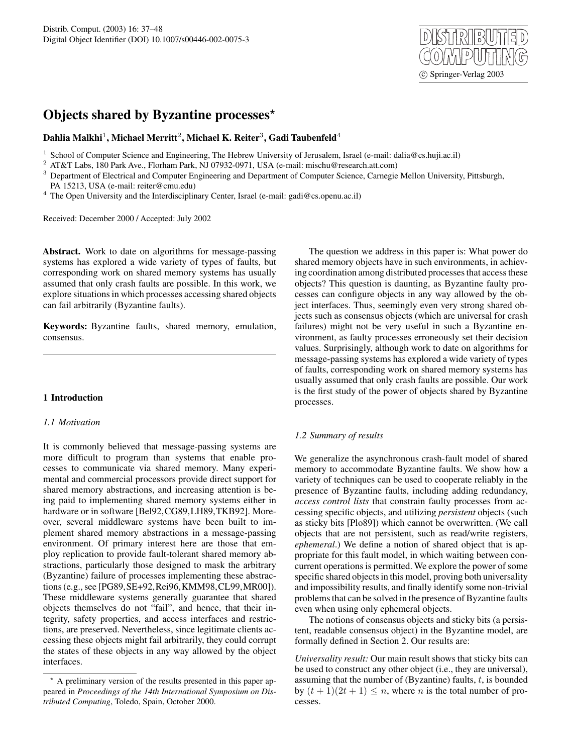# **Objects shared by Byzantine processes**

# **Dahlia Malkhi**<sup>1</sup>**, Michael Merritt**<sup>2</sup>**, Michael K. Reiter**<sup>3</sup>**, Gadi Taubenfeld**<sup>4</sup>

- 
- <sup>1</sup> School of Computer Science and Engineering, The Hebrew University of Jerusalem, Israel (e-mail: dalia@cs.huji.ac.il)<br><sup>2</sup> AT&T Labs, 180 Park Ave., Florham Park, NJ 07932-0971, USA (e-mail: mischu@research.att.com)<br><sup>3</sup> PA 15213, USA (e-mail: reiter@cmu.edu) <sup>4</sup> The Open University and the Interdisciplinary Center, Israel (e-mail: gadi@cs.openu.ac.il)
- 

Received: December 2000 / Accepted: July 2002

**Abstract.** Work to date on algorithms for message-passing systems has explored a wide variety of types of faults, but corresponding work on shared memory systems has usually assumed that only crash faults are possible. In this work, we explore situations in which processes accessing shared objects can fail arbitrarily (Byzantine faults).

**Keywords:** Byzantine faults, shared memory, emulation, consensus.

# **1 Introduction**

# *1.1 Motivation*

It is commonly believed that message-passing systems are more difficult to program than systems that enable processes to communicate via shared memory. Many experimental and commercial processors provide direct support for shared memory abstractions, and increasing attention is being paid to implementing shared memory systems either in hardware or in software [Bel92,CG89,LH89,TKB92]. Moreover, several middleware systems have been built to implement shared memory abstractions in a message-passing environment. Of primary interest here are those that employ replication to provide fault-tolerant shared memory abstractions, particularly those designed to mask the arbitrary (Byzantine) failure of processes implementing these abstractions (e.g., see [PG89,SE+92,Rei96,KMM98,CL99,MR00]). These middleware systems generally guarantee that shared objects themselves do not "fail", and hence, that their integrity, safety properties, and access interfaces and restrictions, are preserved. Nevertheless, since legitimate clients accessing these objects might fail arbitrarily, they could corrupt the states of these objects in any way allowed by the object interfaces.

The question we address in this paper is: What power do shared memory objects have in such environments, in achieving coordination among distributed processes that access these objects? This question is daunting, as Byzantine faulty processes can configure objects in any way allowed by the object interfaces. Thus, seemingly even very strong shared objects such as consensus objects (which are universal for crash failures) might not be very useful in such a Byzantine environment, as faulty processes erroneously set their decision values. Surprisingly, although work to date on algorithms for message-passing systems has explored a wide variety of types of faults, corresponding work on shared memory systems has usually assumed that only crash faults are possible. Our work is the first study of the power of objects shared by Byzantine processes.

## *1.2 Summary of results*

We generalize the asynchronous crash-fault model of shared memory to accommodate Byzantine faults. We show how a variety of techniques can be used to cooperate reliably in the presence of Byzantine faults, including adding redundancy, *access control lists* that constrain faulty processes from accessing specific objects, and utilizing *persistent* objects (such as sticky bits [Plo89]) which cannot be overwritten. (We call objects that are not persistent, such as read/write registers, *ephemeral*.) We define a notion of shared object that is appropriate for this fault model, in which waiting between concurrent operations is permitted. We explore the power of some specific shared objects in this model, proving both universality and impossibility results, and finally identify some non-trivial problems that can be solved in the presence of Byzantine faults even when using only ephemeral objects.

The notions of consensus objects and sticky bits (a persistent, readable consensus object) in the Byzantine model, are formally defined in Section 2. Our results are:

*Universality result:* Our main result shows that sticky bits can be used to construct any other object (i.e., they are universal), assuming that the number of (Byzantine) faults,  $t$ , is bounded by  $(t + 1)(2t + 1) \leq n$ , where *n* is the total number of processes.

A preliminary version of the results presented in this paper appeared in *Proceedings of the 14th International Symposium on Distributed Computing*, Toledo, Spain, October 2000.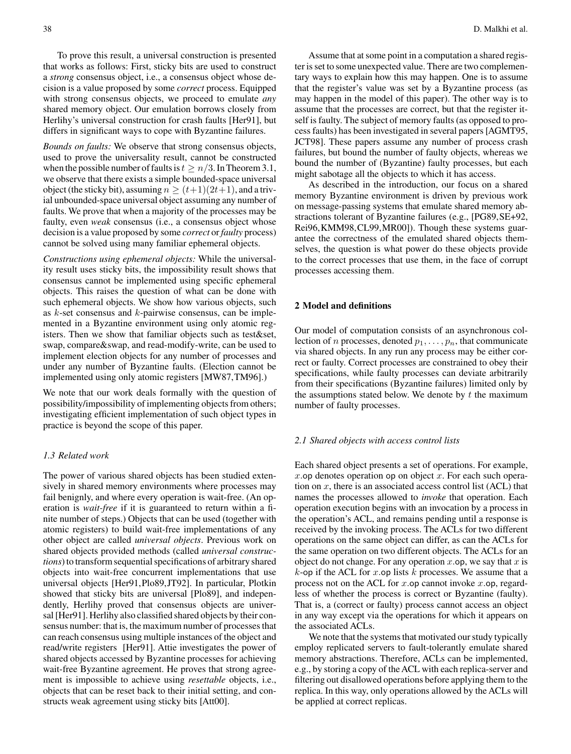To prove this result, a universal construction is presented that works as follows: First, sticky bits are used to construct a *strong* consensus object, i.e., a consensus object whose decision is a value proposed by some *correct* process. Equipped with strong consensus objects, we proceed to emulate *any* shared memory object. Our emulation borrows closely from Herlihy's universal construction for crash faults [Her91], but differs in significant ways to cope with Byzantine failures.

*Bounds on faults:* We observe that strong consensus objects, used to prove the universality result, cannot be constructed when the possible number of faults is  $t > n/3$ . In Theorem 3.1, we observe that there exists a simple bounded-space universal object (the sticky bit), assuming  $n \ge (t+1)(2t+1)$ , and a trivial unbounded-space universal object assuming any number of faults. We prove that when a majority of the processes may be faulty, even *weak* consensus (i.e., a consensus object whose decision is a value proposed by some *correct* or *faulty* process) cannot be solved using many familiar ephemeral objects.

*Constructions using ephemeral objects:* While the universality result uses sticky bits, the impossibility result shows that consensus cannot be implemented using specific ephemeral objects. This raises the question of what can be done with such ephemeral objects. We show how various objects, such as  $k$ -set consensus and  $k$ -pairwise consensus, can be implemented in a Byzantine environment using only atomic registers. Then we show that familiar objects such as test&set, swap, compare&swap, and read-modify-write, can be used to implement election objects for any number of processes and under any number of Byzantine faults. (Election cannot be implemented using only atomic registers [MW87,TM96].)

We note that our work deals formally with the question of possibility/impossibility of implementing objects from others; investigating efficient implementation of such object types in practice is beyond the scope of this paper.

# *1.3 Related work*

The power of various shared objects has been studied extensively in shared memory environments where processes may fail benignly, and where every operation is wait-free. (An operation is *wait-free* if it is guaranteed to return within a finite number of steps.) Objects that can be used (together with atomic registers) to build wait-free implementations of any other object are called *universal objects*. Previous work on shared objects provided methods (called *universal constructions*) to transform sequential specifications of arbitrary shared objects into wait-free concurrent implementations that use universal objects [Her91,Plo89,JT92]. In particular, Plotkin showed that sticky bits are universal [Plo89], and independently, Herlihy proved that consensus objects are universal [Her91]. Herlihy also classified shared objects by their consensus number: that is, the maximum number of processes that can reach consensus using multiple instances of the object and read/write registers [Her91]. Attie investigates the power of shared objects accessed by Byzantine processes for achieving wait-free Byzantine agreement. He proves that strong agreement is impossible to achieve using *resettable* objects, i.e., objects that can be reset back to their initial setting, and constructs weak agreement using sticky bits [Att00].

Assume that at some point in a computation a shared register is set to some unexpected value. There are two complementary ways to explain how this may happen. One is to assume that the register's value was set by a Byzantine process (as may happen in the model of this paper). The other way is to assume that the processes are correct, but that the register itself is faulty. The subject of memory faults (as opposed to process faults) has been investigated in several papers [AGMT95, JCT98]. These papers assume any number of process crash failures, but bound the number of faulty objects, whereas we bound the number of (Byzantine) faulty processes, but each might sabotage all the objects to which it has access.

As described in the introduction, our focus on a shared memory Byzantine environment is driven by previous work on message-passing systems that emulate shared memory abstractions tolerant of Byzantine failures (e.g., [PG89,SE+92, Rei96,KMM98,CL99,MR00]). Though these systems guarantee the correctness of the emulated shared objects themselves, the question is what power do these objects provide to the correct processes that use them, in the face of corrupt processes accessing them.

# **2 Model and definitions**

Our model of computation consists of an asynchronous collection of *n* processes, denoted  $p_1, \ldots, p_n$ , that communicate via shared objects. In any run any process may be either correct or faulty. Correct processes are constrained to obey their specifications, while faulty processes can deviate arbitrarily from their specifications (Byzantine failures) limited only by the assumptions stated below. We denote by  $t$  the maximum number of faulty processes.

#### *2.1 Shared objects with access control lists*

Each shared object presents a set of operations. For example,  $x$ .op denotes operation op on object  $x$ . For each such operation on  $x$ , there is an associated access control list (ACL) that names the processes allowed to *invoke* that operation. Each operation execution begins with an invocation by a process in the operation's ACL, and remains pending until a response is received by the invoking process. The ACLs for two different operations on the same object can differ, as can the ACLs for the same operation on two different objects. The ACLs for an object do not change. For any operation  $x$  op, we say that  $x$  is k-op if the ACL for x op lists k processes. We assume that a process not on the ACL for x.op cannot invoke x.op, regardless of whether the process is correct or Byzantine (faulty). That is, a (correct or faulty) process cannot access an object in any way except via the operations for which it appears on the associated ACLs.

We note that the systems that motivated our study typically employ replicated servers to fault-tolerantly emulate shared memory abstractions. Therefore, ACLs can be implemented, e.g., by storing a copy of the ACL with each replica-server and filtering out disallowed operations before applying them to the replica. In this way, only operations allowed by the ACLs will be applied at correct replicas.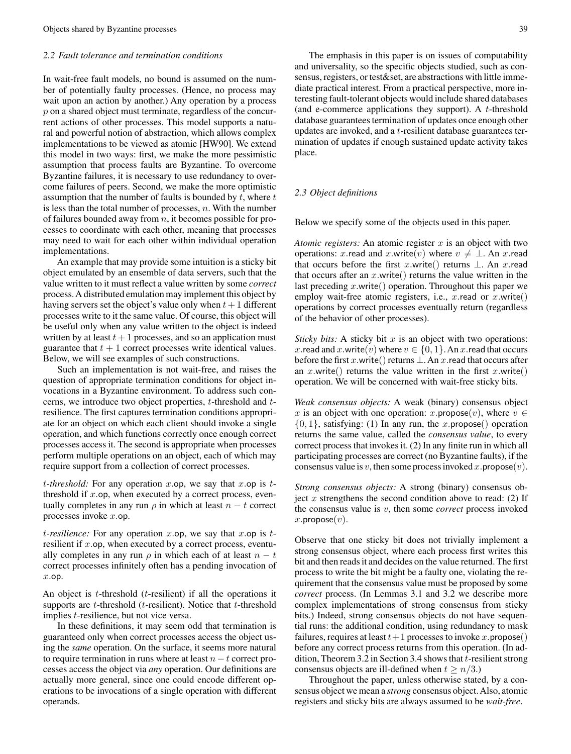# *2.2 Fault tolerance and termination conditions*

In wait-free fault models, no bound is assumed on the number of potentially faulty processes. (Hence, no process may wait upon an action by another.) Any operation by a process p on a shared object must terminate, regardless of the concurrent actions of other processes. This model supports a natural and powerful notion of abstraction, which allows complex implementations to be viewed as atomic [HW90]. We extend this model in two ways: first, we make the more pessimistic assumption that process faults are Byzantine. To overcome Byzantine failures, it is necessary to use redundancy to overcome failures of peers. Second, we make the more optimistic assumption that the number of faults is bounded by  $t$ , where  $t$ is less than the total number of processes,  $n$ . With the number of failures bounded away from  $n$ , it becomes possible for processes to coordinate with each other, meaning that processes may need to wait for each other within individual operation implementations.

An example that may provide some intuition is a sticky bit object emulated by an ensemble of data servers, such that the value written to it must reflect a value written by some *correct* process.A distributed emulation may implement this object by having servers set the object's value only when  $t + 1$  different processes write to it the same value. Of course, this object will be useful only when any value written to the object is indeed written by at least  $t + 1$  processes, and so an application must guarantee that  $t + 1$  correct processes write identical values. Below, we will see examples of such constructions.

Such an implementation is not wait-free, and raises the question of appropriate termination conditions for object invocations in a Byzantine environment. To address such concerns, we introduce two object properties, t-threshold and tresilience. The first captures termination conditions appropriate for an object on which each client should invoke a single operation, and which functions correctly once enough correct processes access it. The second is appropriate when processes perform multiple operations on an object, each of which may require support from a collection of correct processes.

*t*-threshold: For any operation x.op, we say that x.op is  $t$ threshold if  $x$ .op, when executed by a correct process, eventually completes in any run  $\rho$  in which at least  $n - t$  correct processes invoke x.op.

*t*-resilience: For any operation x.op, we say that x.op is  $t$ resilient if  $x$ .op, when executed by a correct process, eventually completes in any run  $\rho$  in which each of at least  $n - t$ correct processes infinitely often has a pending invocation of  $x.$ op.

An object is  $t$ -threshold ( $t$ -resilient) if all the operations it supports are  $t$ -threshold ( $t$ -resilient). Notice that  $t$ -threshold implies t-resilience, but not vice versa.

In these definitions, it may seem odd that termination is guaranteed only when correct processes access the object using the *same* operation. On the surface, it seems more natural to require termination in runs where at least  $n - t$  correct processes access the object via *any* operation. Our definitions are actually more general, since one could encode different operations to be invocations of a single operation with different operands.

The emphasis in this paper is on issues of computability and universality, so the specific objects studied, such as consensus, registers, or test&set, are abstractions with little immediate practical interest. From a practical perspective, more interesting fault-tolerant objects would include shared databases (and e-commerce applications they support). A  $t$ -threshold database guarantees termination of updates once enough other updates are invoked, and a t-resilient database guarantees termination of updates if enough sustained update activity takes place.

# *2.3 Object definitions*

Below we specify some of the objects used in this paper.

*Atomic registers:* An atomic register  $x$  is an object with two operations: x.read and x.write(v) where  $v \neq \bot$ . An x.read that occurs before the first x.write() returns  $\bot$ . An x.read that occurs after an  $x$  write() returns the value written in the last preceding x.write() operation. Throughout this paper we employ wait-free atomic registers, i.e., x.read or  $x$ .write() operations by correct processes eventually return (regardless of the behavior of other processes).

*Sticky bits:* A sticky bit x is an object with two operations: x.read and x.write(v) where  $v \in \{0, 1\}$ . An x.read that occurs before the first x.write() returns  $\perp$ . An x.read that occurs after an x write() returns the value written in the first x write() operation. We will be concerned with wait-free sticky bits.

*Weak consensus objects:* A weak (binary) consensus object x is an object with one operation: x.propose $(v)$ , where  $v \in$  $\{0, 1\}$ , satisfying: (1) In any run, the x propose() operation returns the same value, called the *consensus value*, to every correct process that invokes it. (2) In any finite run in which all participating processes are correct (no Byzantine faults), if the consensus value is v, then some process invoked x.propose $(v)$ .

*Strong consensus objects:* A strong (binary) consensus object  $x$  strengthens the second condition above to read: (2) If the consensus value is v, then some *correct* process invoked x.propose $(v)$ .

Observe that one sticky bit does not trivially implement a strong consensus object, where each process first writes this bit and then reads it and decides on the value returned. The first process to write the bit might be a faulty one, violating the requirement that the consensus value must be proposed by some *correct* process. (In Lemmas 3.1 and 3.2 we describe more complex implementations of strong consensus from sticky bits.) Indeed, strong consensus objects do not have sequential runs: the additional condition, using redundancy to mask failures, requires at least  $t+1$  processes to invoke x.propose() before any correct process returns from this operation. (In addition, Theorem 3.2 in Section 3.4 shows that  $t$ -resilient strong consensus objects are ill-defined when  $t \ge n/3$ .)

Throughout the paper, unless otherwise stated, by a consensus object we mean a *strong* consensus object.Also, atomic registers and sticky bits are always assumed to be *wait-free*.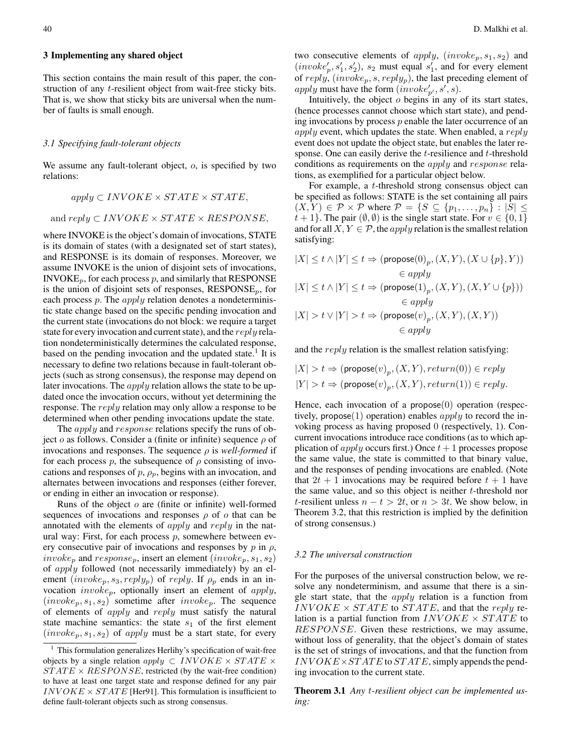# **3 Implementing any shared object**

This section contains the main result of this paper, the construction of any t-resilient object from wait-free sticky bits. That is, we show that sticky bits are universal when the number of faults is small enough.

# *3.1 Specifying fault-tolerant objects*

We assume any fault-tolerant object,  $o$ , is specified by two relations:

$$
apply \subset INVOKE \times STATE \times STATE,
$$

and 
$$
reply \subset INVOKE \times STATE \times RESPONSE
$$
,

where INVOKE is the object's domain of invocations, STATE is its domain of states (with a designated set of start states), and RESPONSE is its domain of responses. Moreover, we assume INVOKE is the union of disjoint sets of invocations,  $INVOKE<sub>p</sub>$ , for each process p, and similarly that RESPONSE is the union of disjoint sets of responses,  $RESPONSE_p$ , for each process  $p$ . The  $apply$  relation denotes a nondeterministic state change based on the specific pending invocation and the current state (invocations do not block: we require a target state for every invocation and current state), and the reply relation nondeterministically determines the calculated response, based on the pending invocation and the updated state.<sup>1</sup> It is necessary to define two relations because in fault-tolerant objects (such as strong consensus), the response may depend on later invocations. The *apply* relation allows the state to be updated once the invocation occurs, without yet determining the response. The *reply* relation may only allow a response to be determined when other pending invocations update the state.

The *apply* and *response* relations specify the runs of object o as follows. Consider a (finite or infinite) sequence  $\rho$  of invocations and responses. The sequence  $\rho$  is *well-formed* if for each process p, the subsequence of  $\rho$  consisting of invocations and responses of  $p$ ,  $\rho_p$ , begins with an invocation, and alternates between invocations and responses (either forever, or ending in either an invocation or response).

Runs of the object  $o$  are (finite or infinite) well-formed sequences of invocations and responses  $\rho$  of  $\sigma$  that can be annotated with the elements of apply and reply in the natural way: First, for each process  $p$ , somewhere between every consecutive pair of invocations and responses by  $p$  in  $\rho$ ,  $invoke_p$  and  $response_p$ , insert an element  $(invoke_p, s_1, s_2)$ of apply followed (not necessarily immediately) by an element  $(invoke_p, s_3, reply_p)$  of reply. If  $\rho_p$  ends in an invocation  $invoke_p$ , optionally insert an element of apply,  $(invoke_p, s_1, s_2)$  sometime after  $invoke_p$ . The sequence of elements of *apply* and *reply* must satisfy the natural state machine semantics: the state  $s_1$  of the first element  $(invoke_p, s_1, s_2)$  of apply must be a start state, for every

two consecutive elements of *apply*,  $(invoke<sub>p</sub>, s<sub>1</sub>, s<sub>2</sub>)$  and  $(invoke'_p, s'_1, s'_2), s_2$  must equal  $s'_1$ , and for every element of reply,  $(invoke_p, s, reply_p)$ , the last preceding element of apply must have the form  $(invoke'_{p'}, s', s)$ .

Intuitively, the object  $o$  begins in any of its start states, (hence processes cannot choose which start state), and pending invocations by process  $p$  enable the later occurrence of an apply event, which updates the state. When enabled, a reply event does not update the object state, but enables the later response. One can easily derive the  $t$ -resilience and  $t$ -threshold conditions as requirements on the apply and response relations, as exemplified for a particular object below.

For example, a t-threshold strong consensus object can be specified as follows: STATE is the set containing all pairs  $(X, Y) \in \mathcal{P} \times \mathcal{P}$  where  $\mathcal{P} = \{ S \subseteq \{p_1, \ldots, p_n\} : |S| \leq$  $t + 1$ . The pair  $(\emptyset, \emptyset)$  is the single start state. For  $v \in \{0, 1\}$ and for all  $X, Y \in \mathcal{P}$ , the *apply* relation is the smallest relation satisfying:

$$
\begin{aligned} |X| &\leq t \wedge |Y| \leq t \Rightarrow (\text{propose}(0)_p, (X,Y),(X\cup \{p\},Y)) \\ &\in apply \\ |X| &\leq t \wedge |Y| \leq t \Rightarrow (\text{propose}(1)_p, (X,Y),(X,Y\cup \{p\})) \\ &\in apply \\ |X| &> t \vee |Y| > t \Rightarrow (\text{propose}(v)_p, (X,Y),(X,Y)) \\ &\in apply \\ &\leq apply \end{aligned}
$$

and the reply relation is the smallest relation satisfying:

$$
\begin{aligned} |X|>t &\Rightarrow \left( \text{propose}(v)_{p},(X,Y), return(0) \right) \in reply \\ |Y|>t &\Rightarrow \left( \text{propose}(v)_{p},(X,Y), return(1) \right) \in reply. \end{aligned}
$$

Hence, each invocation of a  $propose(0)$  operation (respectively, propose(1) operation) enables  $apply$  to record the invoking process as having proposed 0 (respectively, 1). Concurrent invocations introduce race conditions (as to which application of *apply* occurs first.) Once  $t + 1$  processes propose the same value, the state is committed to that binary value, and the responses of pending invocations are enabled. (Note that  $2t + 1$  invocations may be required before  $t + 1$  have the same value, and so this object is neither  $t$ -threshold nor t-resilient unless  $n - t > 2t$ , or  $n > 3t$ . We show below, in Theorem 3.2, that this restriction is implied by the definition of strong consensus.)

#### *3.2 The universal construction*

For the purposes of the universal construction below, we resolve any nondeterminism, and assume that there is a single start state, that the  $apply$  relation is a function from  $INVOKE \times STATE$  to *STATE*, and that the *reply* relation is a partial function from  $INVOKE \times STATE$  to RESPONSE. Given these restrictions, we may assume, without loss of generality, that the object's domain of states is the set of strings of invocations, and that the function from  $INVOKE \times STATE$  to  $STATE$ , simply appends the pending invocation to the current state.

**Theorem 3.1** *Any* t*-resilient object can be implemented using:*

 $<sup>1</sup>$  This formulation generalizes Herlihy's specification of wait-free</sup> objects by a single relation  $apply \subset INVOKE \times STATE \times$  $STATE \times RESPONSE$ , restricted (by the wait-free condition) to have at least one target state and response defined for any pair  $INVOKE \times STATE$  [Her91]. This formulation is insufficient to define fault-tolerant objects such as strong consensus.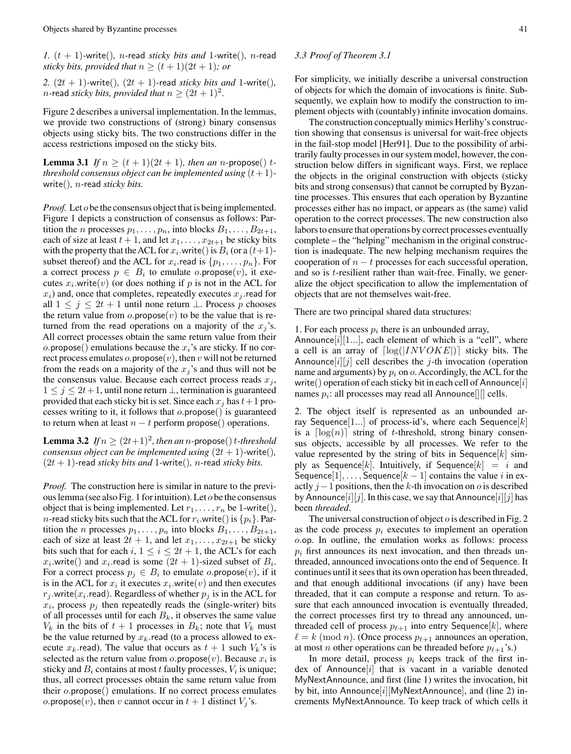*1.*  $(t + 1)$ -write(), *n*-read *sticky bits and* 1-write(), *n*-read *sticky bits, provided that*  $n \geq (t+1)(2t+1)$ *; or* 

2.  $(2t + 1)$ -write(),  $(2t + 1)$ -read *sticky bits and* 1-write(), *n*-read *sticky bits, provided that*  $n \geq (2t+1)^2$ .

Figure 2 describes a universal implementation. In the lemmas, we provide two constructions of (strong) binary consensus objects using sticky bits. The two constructions differ in the access restrictions imposed on the sticky bits.

**Lemma 3.1** *If*  $n \ge (t + 1)(2t + 1)$ *, then an n*-propose() *tthreshold consensus object can be implemented using*  $(t + 1)$ write()*,* n*-*read *sticky bits.*

*Proof.* Let *o* be the consensus object that is being implemented. Figure 1 depicts a construction of consensus as follows: Partition the *n* processes  $p_1, \ldots, p_n$ , into blocks  $B_1, \ldots, B_{2t+1}$ , each of size at least  $t + 1$ , and let  $x_1, \ldots, x_{2t+1}$  be sticky bits with the property that the ACL for  $x_i$ .write() is  $B_i$  (or a  $(t+1)$ subset thereof) and the ACL for  $x_i$  read is  $\{p_1,\ldots,p_n\}$ . For a correct process  $p \in B_i$  to emulate o.propose $(v)$ , it executes  $x_i$  write(v) (or does nothing if p is not in the ACL for  $x_i$ ) and, once that completes, repeatedly executes  $x_i$  read for all  $1 \leq j \leq 2t + 1$  until none return ⊥. Process p chooses the return value from  $o$ .propose $(v)$  to be the value that is returned from the read operations on a majority of the  $x_i$ 's. All correct processes obtain the same return value from their o.propose() emulations because the  $x_i$ 's are sticky. If no correct process emulates  $o$ .propose $(v)$ , then v will not be returned from the reads on a majority of the  $x_j$ 's and thus will not be the consensus value. Because each correct process reads  $x_j$ ,  $1 \leq j \leq 2t+1$ , until none return  $\perp$ , termination is guaranteed provided that each sticky bit is set. Since each  $x_i$  has  $t+1$  processes writing to it, it follows that o.propose() is guaranteed to return when at least  $n - t$  perform propose() operations.

**Lemma 3.2** *If*  $n \geq (2t+1)^2$ , *then an n*-propose() *t*-threshold *consensus object can be implemented using*  $(2t + 1)$ *-write*()*,*  $(2t + 1)$ -read *sticky bits and* 1-write(), *n*-read *sticky bits.* 

*Proof.* The construction here is similar in nature to the previous lemma (see also Fig. 1 for intuition). Let o be the consensus object that is being implemented. Let  $r_1, \ldots, r_n$  be 1-write(), *n*-read sticky bits such that the ACL for  $r_i$  write() is  $\{p_i\}$ . Partition the *n* processes  $p_1, \ldots, p_n$  into blocks  $B_1, \ldots, B_{2t+1}$ , each of size at least  $2t + 1$ , and let  $x_1, \ldots, x_{2t+1}$  be sticky bits such that for each  $i, 1 \le i \le 2t + 1$ , the ACL's for each  $x_i$  write() and  $x_i$  read is some  $(2t + 1)$ -sized subset of  $B_i$ . For a correct process  $p_i \in B_i$  to emulate o.propose $(v)$ , if it is in the ACL for  $x_i$  it executes  $x_i$ .write(v) and then executes  $r_j$  write( $x_i$  read). Regardless of whether  $p_j$  is in the ACL for  $x_i$ , process  $p_i$  then repeatedly reads the (single-writer) bits of all processes until for each  $B_k$ , it observes the same value  $V_k$  in the bits of  $t + 1$  processes in  $B_k$ ; note that  $V_k$  must be the value returned by  $x_k$ .read (to a process allowed to execute  $x_k$ .read). The value that occurs as  $t + 1$  such  $V_k$ 's is selected as the return value from  $o.\mathsf{propose}(v)$ . Because  $x_i$  is sticky and  $B_i$  contains at most t faulty processes,  $V_i$  is unique; thus, all correct processes obtain the same return value from their o.propose() emulations. If no correct process emulates o.propose(v), then v cannot occur in  $t + 1$  distinct  $V_i$ 's.

#### *3.3 Proof of Theorem 3.1*

For simplicity, we initially describe a universal construction of objects for which the domain of invocations is finite. Subsequently, we explain how to modify the construction to implement objects with (countably) infinite invocation domains.

The construction conceptually mimics Herlihy's construction showing that consensus is universal for wait-free objects in the fail-stop model [Her91]. Due to the possibility of arbitrarily faulty processes in our system model, however, the construction below differs in significant ways. First, we replace the objects in the original construction with objects (sticky bits and strong consensus) that cannot be corrupted by Byzantine processes. This ensures that each operation by Byzantine processes either has no impact, or appears as (the same) valid operation to the correct processes. The new construction also labors to ensure that operations by correct processes eventually complete – the "helping" mechanism in the original construction is inadequate. The new helping mechanism requires the cooperation of  $n - t$  processes for each successful operation, and so is t-resilient rather than wait-free. Finally, we generalize the object specification to allow the implementation of objects that are not themselves wait-free.

There are two principal shared data structures:

1. For each process  $p_i$  there is an unbounded array,

Announce $[i][1...]$ , each element of which is a "cell", where a cell is an array of  $\lceil log(|INVOKE|) \rceil$  sticky bits. The Announce $[i][j]$  cell describes the *j*-th invocation (operation name and arguments) by  $p_i$  on  $o$ . Accordingly, the ACL for the write() operation of each sticky bit in each cell of Announce[i] names  $p_i$ : all processes may read all Announce $\iiint$  cells.

2. The object itself is represented as an unbounded array Sequence[1...] of process-id's, where each Sequence[k] is a  $\lceil \log(n) \rceil$  string of t-threshold, strong binary consensus objects, accessible by all processes. We refer to the value represented by the string of bits in Sequence[k] simply as Sequence[k]. Intuitively, if Sequence[k] = i and Sequence[1],..., Sequence[ $k-1$ ] contains the value i in exactly  $j-1$  positions, then the k-th invocation on  $o$  is described by Announce $[i][j]$ . In this case, we say that Announce $[i][j]$  has been *threaded*.

The universal construction of object  $o$  is described in Fig. 2 as the code process  $p_i$  executes to implement an operation o.op. In outline, the emulation works as follows: process  $p_i$  first announces its next invocation, and then threads unthreaded, announced invocations onto the end of Sequence. It continues until it sees that its own operation has been threaded, and that enough additional invocations (if any) have been threaded, that it can compute a response and return. To assure that each announced invocation is eventually threaded, the correct processes first try to thread any announced, unthreaded cell of process  $p_{\ell+1}$  into entry Sequence[k], where  $\ell = k \pmod{n}$ . (Once process  $p_{\ell+1}$  announces an operation, at most *n* other operations can be threaded before  $p_{\ell+1}$ 's.)

In more detail, process  $p_i$  keeps track of the first index of Announce $[i]$  that is vacant in a variable denoted MyNextAnnounce, and first (line 1) writes the invocation, bit by bit, into Announce[i][MyNextAnnounce], and (line 2) increments MyNextAnnounce. To keep track of which cells it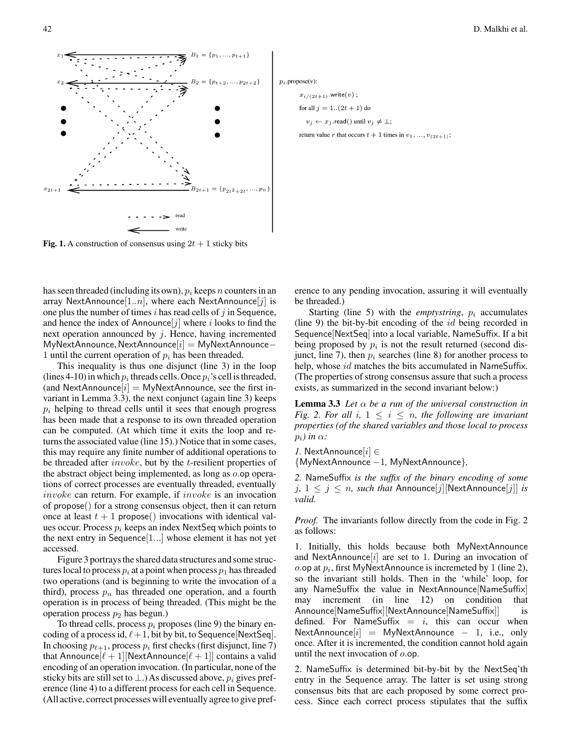

**Fig. 1.** A construction of consensus using  $2t + 1$  sticky bits

has seen threaded (including its own),  $p_i$  keeps n counters in an array NextAnnounce $[1..n]$ , where each NextAnnounce $[j]$  is one plus the number of times  $i$  has read cells of  $j$  in Sequence, and hence the index of Announce  $j$  where i looks to find the next operation announced by  $j$ . Hence, having incremented MyNextAnnounce, NextAnnounce[i] = MyNextAnnounce− 1 until the current operation of  $p_i$  has been threaded.

This inequality is thus one disjunct (line 3) in the loop (lines 4-10) in which  $p_i$  threads cells. Once  $p_i$ 's cell is threaded, (and NextAnnounce $[i] = MyNextAn$ nnounce, see the first invariant in Lemma 3.3), the next conjunct (again line 3) keeps  $p_i$  helping to thread cells until it sees that enough progress has been made that a response to its own threaded operation can be computed. (At which time it exits the loop and returns the associated value (line 15).) Notice that in some cases, this may require any finite number of additional operations to be threaded after invoke, but by the t-resilient properties of the abstract object being implemented, as long as o.op operations of correct processes are eventually threaded, eventually invoke can return. For example, if invoke is an invocation of propose() for a strong consensus object, then it can return once at least  $t + 1$  propose() invocations with identical values occur. Process  $p_i$  keeps an index NextSeq which points to the next entry in Sequence[1...] whose element it has not yet accessed.

Figure 3 portrays the shared data structures and some structures local to process  $p_i$  at a point when process  $p_1$  has threaded two operations (and is beginning to write the invocation of a third), process  $p_n$  has threaded one operation, and a fourth operation is in process of being threaded. (This might be the operation process  $p_2$  has begun.)

To thread cells, process  $p_i$  proposes (line 9) the binary encoding of a process id,  $\ell + 1$ , bit by bit, to Sequence [NextSeq]. In choosing  $p_{\ell+1}$ , process  $p_i$  first checks (first disjunct, line 7) that Announce $[\ell+1]$ [NextAnnounce $[\ell+1]$ ] contains a valid encoding of an operation invocation. (In particular, none of the sticky bits are still set to  $\perp$ .) As discussed above,  $p_i$  gives preference (line 4) to a different process for each cell in Sequence. (All active, correct processes will eventually agree to give pref-

 $p_i$ .propose $(v)$ :

 $x_{i/(2t+1)}$ .write $(v)$ ; for all  $j = 1..(2t + 1)$  do  $v_j \leftarrow x_j$ .read() until  $v_j \neq \bot$ ; return value r that occurs  $t + 1$  times in  $v_1, ..., v_{(2t+1)}$ ;

erence to any pending invocation, assuring it will eventually be threaded.)

Starting (line 5) with the *emptystring*,  $p_i$  accumulates (line 9) the bit-by-bit encoding of the  $id$  being recorded in Sequence[NextSeq] into a local variable, NameSuffix. If a bit being proposed by  $p_i$  is not the result returned (second disjunct, line 7), then  $p_i$  searches (line 8) for another process to help, whose *id* matches the bits accumulated in NameSuffix. (The properties of strong consensus assure that such a process exists, as summarized in the second invariant below:)

**Lemma 3.3** *Let*  $\alpha$  *be a run of the universal construction in Fig. 2. For all* i*,* 1 ≤ i ≤ n*, the following are invariant properties (of the shared variables and those local to process*  $p_i)$  *in*  $\alpha$ *:* 

*1.* NextAnnounce[i] ∈

{MyNextAnnounce −1*,* MyNextAnnounce}*,*

*2.* NameSuffix *is the suffix of the binary encoding of some*  $j, 1 \leq j \leq n$ , such that Announce j||NextAnnounce j| *is valid.*

*Proof.* The invariants follow directly from the code in Fig. 2 as follows:

1. Initially, this holds because both MyNextAnnounce and NextAnnounce $[i]$  are set to 1. During an invocation of o.op at  $p_i$ , first MyNextAnnounce is incremeted by 1 (line 2), so the invariant still holds. Then in the 'while' loop, for any NameSuffix the value in NextAnnounce[NameSuffix] may increment (in line 12) on condition that Announce[NameSuffix][NextAnnounce[NameSuffix]] is defined. For NameSuffix  $= i$ , this can occur when  $NextAnnounce[i] = MyNextAnnounce - 1, i.e., only$ once. After it is incremented, the condition cannot hold again until the next invocation of  $o$ .op.

2. NameSuffix is determined bit-by-bit by the NextSeq'th entry in the Sequence array. The latter is set using strong consensus bits that are each proposed by some correct process. Since each correct process stipulates that the suffix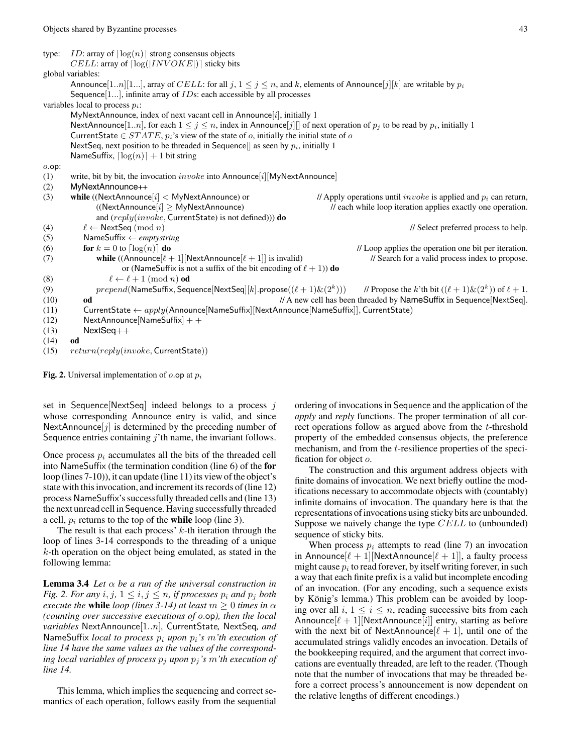| type:                                                                 | <i>ID</i> : array of $\lceil \log(n) \rceil$ strong consensus objects<br>$CELL:$ array of $\lceil \log( INVOKE ) \rceil$ sticky bits                                                                                                   |                                                                          |
|-----------------------------------------------------------------------|----------------------------------------------------------------------------------------------------------------------------------------------------------------------------------------------------------------------------------------|--------------------------------------------------------------------------|
| global variables:                                                     |                                                                                                                                                                                                                                        |                                                                          |
|                                                                       | Announce [1. <i>n</i> ][1. <i>n</i> ], array of <i>CELL</i> : for all $j$ , $1 \le j \le n$ , and k, elements of Announce [j][k] are writable by $p_i$<br>Sequence[1], infinite array of <i>IDs</i> : each accessible by all processes |                                                                          |
| variables local to process $p_i$ :                                    |                                                                                                                                                                                                                                        |                                                                          |
| MyNextAnnounce, index of next vacant cell in Announce[i], initially 1 |                                                                                                                                                                                                                                        |                                                                          |
|                                                                       | NextAnnounce[1.n], for each $1 \le j \le n$ , index in Announce[j][] of next operation of $p_j$ to be read by $p_i$ , initially 1                                                                                                      |                                                                          |
|                                                                       | CurrentState $\in STATE$ , $p_i$ 's view of the state of $o$ , initially the initial state of $o$                                                                                                                                      |                                                                          |
|                                                                       | Next Seq, next position to be threaded in Sequence $\parallel$ as seen by $p_i$ , initially 1                                                                                                                                          |                                                                          |
|                                                                       | NameSuffix, $\lceil \log(n) \rceil + 1$ bit string                                                                                                                                                                                     |                                                                          |
| $O.$ Op:                                                              |                                                                                                                                                                                                                                        |                                                                          |
| (1)                                                                   | write, bit by bit, the invocation $invoke$ into Announce[i][MyNextAnnounce]                                                                                                                                                            |                                                                          |
| (2)                                                                   | MyNextAnnounce++                                                                                                                                                                                                                       |                                                                          |
| (3)                                                                   | while ((NextAnnounce $[i] <$ MyNextAnnounce) or                                                                                                                                                                                        | // Apply operations until <i>invoke</i> is applied and $p_i$ can return, |
|                                                                       | $((\mathsf{NextAnname}[i] \geq \mathsf{MyNextAnname})$                                                                                                                                                                                 | // each while loop iteration applies exactly one operation.              |
|                                                                       | and $(reply(invoke, CurrentState)$ is not defined))) do                                                                                                                                                                                |                                                                          |
| (4)                                                                   | $\ell \leftarrow$ NextSeq (mod <i>n</i> )                                                                                                                                                                                              | // Select preferred process to help.                                     |
| (5)                                                                   | NameSuffix $\leftarrow$ emptystring                                                                                                                                                                                                    |                                                                          |
| (6)                                                                   | for $k = 0$ to $\lceil \log(n) \rceil$ do                                                                                                                                                                                              | // Loop applies the operation one bit per iteration.                     |
| (7)                                                                   | while ((Announce $[\ell + 1]$ [NextAnnounce $[\ell + 1]$ ] is invalid)                                                                                                                                                                 | // Search for a valid process index to propose.                          |
|                                                                       | or (NameSuffix is not a suffix of the bit encoding of $\ell + 1$ )) <b>do</b>                                                                                                                                                          |                                                                          |
| (8)                                                                   | $\ell \leftarrow \ell + 1 \pmod{n}$ od                                                                                                                                                                                                 |                                                                          |
| (9)                                                                   | $\text{prepend}(\textsf{NameSuffix}, \textsf{Sequence}[\textsf{NextSeq}][k].\textsf{propose}((\ell+1)\&(2^k)))\qquad \text{// Propose the }k\text{'th bit }((\ell+1)\&(2^k)) \text{ of } \ell+1.$                                      |                                                                          |
| (10)                                                                  | // A new cell has been threaded by NameSuffix in Sequence[NextSeq].<br>od                                                                                                                                                              |                                                                          |
| (11)                                                                  | CurrentState $\leftarrow apply(Announce[NameSuffix][NextAnnounce[NameSuffix]], CurrentState)$                                                                                                                                          |                                                                          |
| (12)                                                                  | $NextAnnounce[NameSuffix] + +$                                                                                                                                                                                                         |                                                                          |
| (13)                                                                  | $NextSeq++$                                                                                                                                                                                                                            |                                                                          |
| (14)                                                                  | od                                                                                                                                                                                                                                     |                                                                          |
| (15)                                                                  | return(reply(invoke, CurrentState))                                                                                                                                                                                                    |                                                                          |

**Fig. 2.** Universal implementation of  $o$  op at  $p_i$ 

set in Sequence[NextSeq] indeed belongs to a process  $j$ whose corresponding Announce entry is valid, and since NextAnnounce $[j]$  is determined by the preceding number of Sequence entries containing  $j'$ th name, the invariant follows.

Once process  $p_i$  accumulates all the bits of the threaded cell into NameSuffix (the termination condition (line 6) of the **for** loop (lines 7-10)), it can update (line 11) its view of the object's state with this invocation, and increment its records of (line 12) process NameSuffix's successfully threaded cells and (line 13) the next unread cell in Sequence. Having successfully threaded a cell,  $p_i$  returns to the top of the **while** loop (line 3).

The result is that each process'  $k$ -th iteration through the loop of lines 3-14 corresponds to the threading of a unique  $k$ -th operation on the object being emulated, as stated in the following lemma:

**Lemma 3.4** *Let*  $\alpha$  *be a run of the universal construction in Fig. 2. For any*  $i, j, 1 \leq i, j \leq n$ , *if processes*  $p_i$  *and*  $p_j$  *both execute the* **while** *loop* (*lines* 3-14) *at least*  $m \geq 0$  *times in*  $\alpha$ *(counting over successive executions of* o.op*), then the local variables* NextAnnounce[1..n]*,* CurrentState*,* NextSeq*, and* NameSuffix *local to process*  $p_i$  *upon*  $p_i$ *'s*  $m$ *'th execution of line 14 have the same values as the values of the corresponding local variables of process*  $p_j$  *upon*  $p_j$ 's *m*'th execution of *line 14.*

This lemma, which implies the sequencing and correct semantics of each operation, follows easily from the sequential ordering of invocations in Sequence and the application of the *apply* and *reply* functions. The proper termination of all correct operations follow as argued above from the t-threshold property of the embedded consensus objects, the preference mechanism, and from the t-resilience properties of the specification for object o.

The construction and this argument address objects with finite domains of invocation. We next briefly outline the modifications necessary to accommodate objects with (countably) infinite domains of invocation. The quandary here is that the representations of invocations using sticky bits are unbounded. Suppose we naively change the type CELL to (unbounded) sequence of sticky bits.

When process  $p_i$  attempts to read (line 7) an invocation in Announce $[\ell + 1]$ [NextAnnounce $[\ell + 1]$ ], a faulty process might cause  $p_i$  to read forever, by itself writing forever, in such a way that each finite prefix is a valid but incomplete encoding of an invocation. (For any encoding, such a sequence exists by König's lemma.) This problem can be avoided by looping over all  $i, 1 \leq i \leq n$ , reading successive bits from each Announce $[\ell + 1]$ [NextAnnounce $[i]$ ] entry, starting as before with the next bit of NextAnnounce  $[\ell + 1]$ , until one of the accumulated strings validly encodes an invocation. Details of the bookkeeping required, and the argument that correct invocations are eventually threaded, are left to the reader. (Though note that the number of invocations that may be threaded before a correct process's announcement is now dependent on the relative lengths of different encodings.)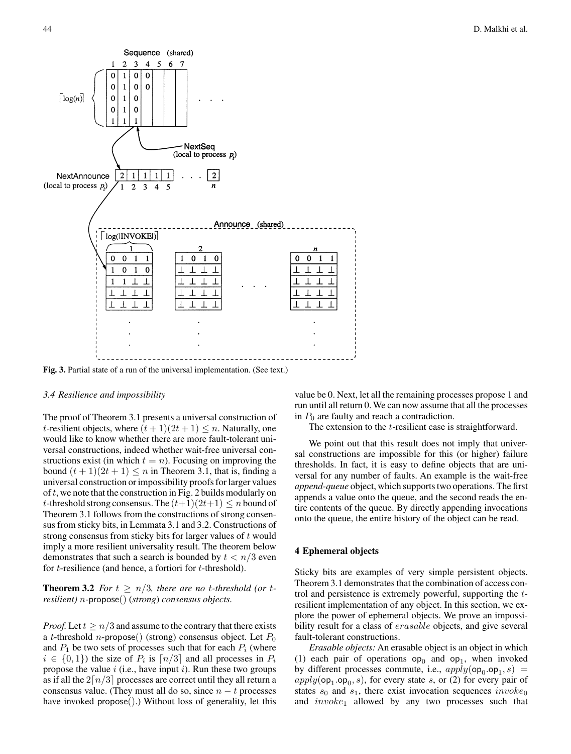

**Fig. 3.** Partial state of a run of the universal implementation. (See text.)

# *3.4 Resilience and impossibility*

The proof of Theorem 3.1 presents a universal construction of t-resilient objects, where  $(t + 1)(2t + 1) \leq n$ . Naturally, one would like to know whether there are more fault-tolerant universal constructions, indeed whether wait-free universal constructions exist (in which  $t = n$ ). Focusing on improving the bound  $(t + 1)(2t + 1) \leq n$  in Theorem 3.1, that is, finding a universal construction or impossibility proofs for larger values of  $t$ , we note that the construction in Fig. 2 builds modularly on t-threshold strong consensus. The  $(t+1)(2t+1) \leq n$  bound of Theorem 3.1 follows from the constructions of strong consensus from sticky bits, in Lemmata 3.1 and 3.2. Constructions of strong consensus from sticky bits for larger values of t would imply a more resilient universality result. The theorem below demonstrates that such a search is bounded by  $t < n/3$  even for t-resilience (and hence, a fortiori for t-threshold).

**Theorem 3.2** *For*  $t \geq n/3$ *, there are no t-threshold (or tresilient)* n*-*propose() (*strong*) *consensus objects.*

*Proof.* Let  $t \geq n/3$  and assume to the contrary that there exists a t-threshold *n*-propose() (strong) consensus object. Let  $P_0$ and  $P_1$  be two sets of processes such that for each  $P_i$  (where  $i \in \{0,1\}$  the size of  $P_i$  is  $\lfloor n/3 \rfloor$  and all processes in  $P_i$ propose the value  $i$  (i.e., have input  $i$ ). Run these two groups as if all the  $2\lceil n/3 \rceil$  processes are correct until they all return a consensus value. (They must all do so, since  $n - t$  processes have invoked propose().) Without loss of generality, let this

value be 0. Next, let all the remaining processes propose 1 and run until all return 0.We can now assume that all the processes in  $P_0$  are faulty and reach a contradiction.

The extension to the *t*-resilient case is straightforward.

We point out that this result does not imply that universal constructions are impossible for this (or higher) failure thresholds. In fact, it is easy to define objects that are universal for any number of faults. An example is the wait-free *append-queue* object, which supports two operations. The first appends a value onto the queue, and the second reads the entire contents of the queue. By directly appending invocations onto the queue, the entire history of the object can be read.

## **4 Ephemeral objects**

Sticky bits are examples of very simple persistent objects. Theorem 3.1 demonstrates that the combination of access control and persistence is extremely powerful, supporting the tresilient implementation of any object. In this section, we explore the power of ephemeral objects. We prove an impossibility result for a class of *erasable* objects, and give several fault-tolerant constructions.

*Erasable objects:* An erasable object is an object in which (1) each pair of operations  $op_0$  and  $op_1$ , when invoked by different processes commute, i.e.,  $apply(op_0.op_1, s)$  =  $apply(op_1.op_0, s)$ , for every state s, or (2) for every pair of states  $s_0$  and  $s_1$ , there exist invocation sequences *invoke*<sup>0</sup> and  $invoke_1$  allowed by any two processes such that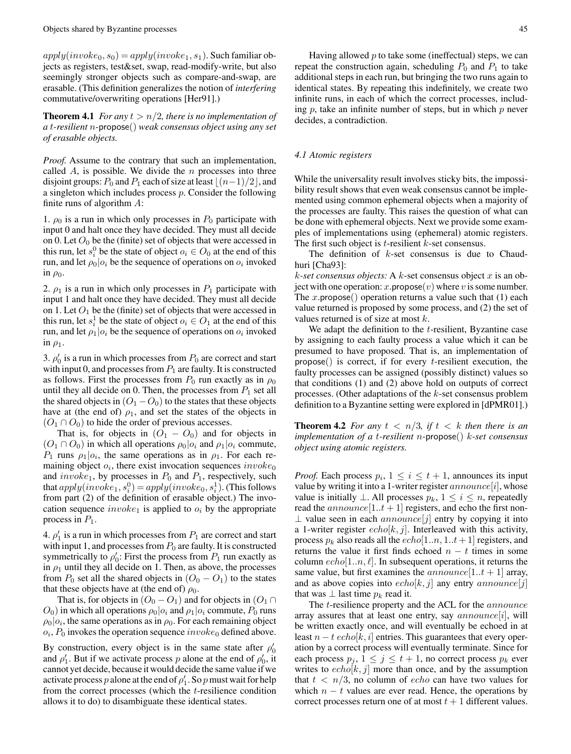$apply(invoke_0, s_0) = apply(invoke_1, s_1)$ . Such familiar objects as registers, test&set, swap, read-modify-write, but also seemingly stronger objects such as compare-and-swap, are erasable. (This definition generalizes the notion of *interfering* commutative/overwriting operations [Her91].)

**Theorem 4.1** *For any*  $t > n/2$ *, there is no implementation of a* t*-resilient* n*-*propose() *weak consensus object using any set of erasable objects.*

*Proof.* Assume to the contrary that such an implementation, called  $A$ , is possible. We divide the  $n$  processes into three disjoint groups:  $P_0$  and  $P_1$  each of size at least  $\lfloor (n-1)/2 \rfloor$ , and a singleton which includes process p. Consider the following finite runs of algorithm  $A$ :

1.  $\rho_0$  is a run in which only processes in  $P_0$  participate with input 0 and halt once they have decided. They must all decide on 0. Let  $O_0$  be the (finite) set of objects that were accessed in this run, let  $s_i^0$  be the state of object  $o_i \in O_0$  at the end of this run, and let  $\rho_0|o_i$  be the sequence of operations on  $o_i$  invoked in  $\rho_0$ .

2.  $\rho_1$  is a run in which only processes in  $P_1$  participate with input 1 and halt once they have decided. They must all decide on 1. Let  $O_1$  be the (finite) set of objects that were accessed in this run, let  $s_i^1$  be the state of object  $o_i \in O_1$  at the end of this run, and let  $\rho_1|o_i$  be the sequence of operations on  $o_i$  invoked in  $\rho_1$ .

3.  $\rho'_0$  is a run in which processes from  $P_0$  are correct and start with input 0, and processes from  $P_1$  are faulty. It is constructed as follows. First the processes from  $P_0$  run exactly as in  $\rho_0$ until they all decide on 0. Then, the processes from  $P_1$  set all the shared objects in  $(O_1 - O_0)$  to the states that these objects have at (the end of)  $\rho_1$ , and set the states of the objects in  $(O_1 \cap O_0)$  to hide the order of previous accesses.

That is, for objects in  $(O_1 - O_0)$  and for objects in  $(O_1 \cap O_0)$  in which all operations  $\rho_0|o_i$  and  $\rho_1|o_i$  commute,  $P_1$  runs  $\rho_1|o_i$ , the same operations as in  $\rho_1$ . For each remaining object  $o_i$ , there exist invocation sequences  $invoke_0$ and  $invoke_1$ , by processes in  $P_0$  and  $P_1$ , respectively, such that  $apply(invoke_1, s_i^0) = apply(invoke_0, s_i^1)$ . (This follows from part (2) of the definition of erasable object.) The invocation sequence  $invoke_1$  is applied to  $o_i$  by the appropriate process in  $P_1$ .

4.  $\rho'_1$  is a run in which processes from  $P_1$  are correct and start with input 1, and processes from  $P_0$  are faulty. It is constructed symmetrically to  $\rho'_0$ : First the process from  $P_1$  run exactly as in  $\rho_1$  until they all decide on 1. Then, as above, the processes from  $P_0$  set all the shared objects in  $(O_0 - O_1)$  to the states that these objects have at (the end of)  $\rho_0$ .

That is, for objects in  $(O_0 - O_1)$  and for objects in  $(O_1 \cap$  $O_0$ ) in which all operations  $\rho_0|o_i$  and  $\rho_1|o_i$  commute,  $P_0$  runs  $\rho_0|o_i$ , the same operations as in  $\rho_0$ . For each remaining object  $o_i$ ,  $P_0$  invokes the operation sequence  $invoke_0$  defined above.

By construction, every object is in the same state after  $\rho'_0$ and  $\rho'_1$ . But if we activate process p alone at the end of  $\rho'_0$ , it cannot yet decide, because it would decide the same value if we activate process p alone at the end of  $\rho_1'$ . So p must wait for help from the correct processes (which the t-resilience condition allows it to do) to disambiguate these identical states.

Having allowed  $p$  to take some (ineffectual) steps, we can repeat the construction again, scheduling  $P_0$  and  $P_1$  to take additional steps in each run, but bringing the two runs again to identical states. By repeating this indefinitely, we create two infinite runs, in each of which the correct processes, including  $p$ , take an infinite number of steps, but in which  $p$  never decides, a contradiction.

#### *4.1 Atomic registers*

While the universality result involves sticky bits, the impossibility result shows that even weak consensus cannot be implemented using common ephemeral objects when a majority of the processes are faulty. This raises the question of what can be done with ephemeral objects. Next we provide some examples of implementations using (ephemeral) atomic registers. The first such object is *t*-resilient  $k$ -set consensus.

The definition of  $k$ -set consensus is due to Chaudhuri [Cha93]:

 $k$ -set consensus objects: A  $k$ -set consensus object  $x$  is an object with one operation: x.propose(v) where v is some number. The x.propose() operation returns a value such that  $(1)$  each value returned is proposed by some process, and (2) the set of values returned is of size at most  $k$ .

We adapt the definition to the *t*-resilient, Byzantine case by assigning to each faulty process a value which it can be presumed to have proposed. That is, an implementation of propose() is correct, if for every t-resilient execution, the faulty processes can be assigned (possibly distinct) values so that conditions (1) and (2) above hold on outputs of correct processes. (Other adaptations of the k-set consensus problem definition to a Byzantine setting were explored in [dPMR01].)

**Theorem 4.2** *For any*  $t < n/3$ *, if*  $t < k$  *then there is an implementation of a* t*-resilient* n*-*propose() k*-set consensus object using atomic registers.*

*Proof.* Each process  $p_i$ ,  $1 \leq i \leq t+1$ , announces its input value by writing it into a 1-writer register  $announce[i]$ , whose value is initially ⊥. All processes  $p_k$ ,  $1 \le i \le n$ , repeatedly read the  $announce[1..t + 1]$  registers, and echo the first non- $\perp$  value seen in each *announce*[j] entry by copying it into a 1-writer register  $echo[k, j]$ . Interleaved with this activity, process  $p_k$  also reads all the  $echo[1..n, 1..t+1]$  registers, and returns the value it first finds echoed  $n - t$  times in some column  $echo[1..n, \ell]$ . In subsequent operations, it returns the same value, but first examines the  $announce[1..t + 1]$  array, and as above copies into  $echo[k, j]$  any entry  $announce[j]$ that was  $\perp$  last time  $p_k$  read it.

The *t*-resilience property and the ACL for the *announce* array assures that at least one entry, say  $announce[i]$ , will be written exactly once, and will eventually be echoed in at least  $n - t$  echo[k, i] entries. This guarantees that every operation by a correct process will eventually terminate. Since for each process  $p_j$ ,  $1 \leq j \leq t+1$ , no correct process  $p_k$  ever writes to  $echo[k, j]$  more than once, and by the assumption that  $t < n/3$ , no column of *echo* can have two values for which  $n - t$  values are ever read. Hence, the operations by correct processes return one of at most  $t + 1$  different values.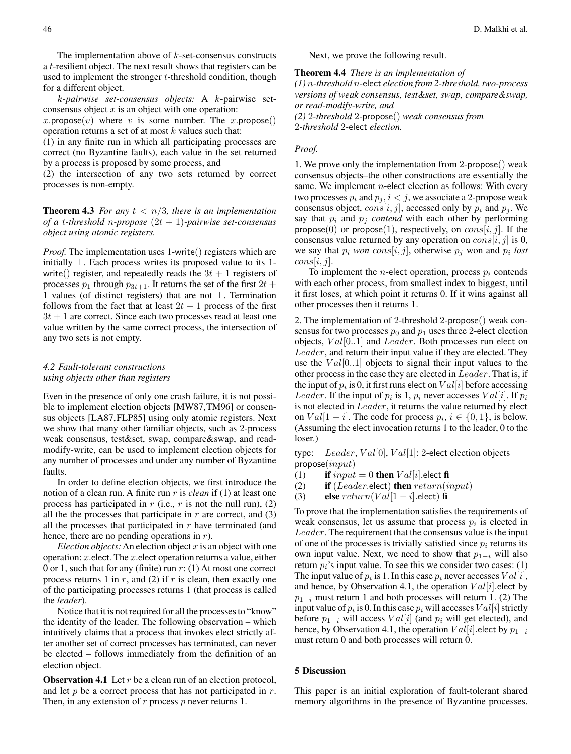The implementation above of  $k$ -set-consensus constructs a t-resilient object. The next result shows that registers can be used to implement the stronger *t*-threshold condition, though for a different object.

k*-pairwise set-consensus objects:* A k-pairwise setconsensus object  $x$  is an object with one operation:

x.propose(v) where v is some number. The x.propose() operation returns a set of at most  $k$  values such that:

(1) in any finite run in which all participating processes are correct (no Byzantine faults), each value in the set returned by a process is proposed by some process, and

(2) the intersection of any two sets returned by correct processes is non-empty.

**Theorem 4.3** *For any*  $t < n/3$ *, there is an implementation of a* t*-threshold* n*-propose* (2t + 1)*-pairwise set-consensus object using atomic registers.*

*Proof.* The implementation uses 1-write() registers which are initially  $\perp$ . Each process writes its proposed value to its 1write() register, and repeatedly reads the  $3t + 1$  registers of processes  $p_1$  through  $p_{3t+1}$ . It returns the set of the first  $2t +$ 1 values (of distinct registers) that are not ⊥. Termination follows from the fact that at least  $2t + 1$  process of the first  $3t + 1$  are correct. Since each two processes read at least one value written by the same correct process, the intersection of any two sets is not empty.

# *4.2 Fault-tolerant constructions using objects other than registers*

Even in the presence of only one crash failure, it is not possible to implement election objects [MW87,TM96] or consensus objects [LA87,FLP85] using only atomic registers. Next we show that many other familiar objects, such as 2-process weak consensus, test&set, swap, compare&swap, and readmodify-write, can be used to implement election objects for any number of processes and under any number of Byzantine faults.

In order to define election objects, we first introduce the notion of a clean run. A finite run r is *clean* if (1) at least one process has participated in  $r$  (i.e.,  $r$  is not the null run), (2) all the the processes that participate in  $r$  are correct, and  $(3)$ all the processes that participated in  $r$  have terminated (and hence, there are no pending operations in r).

*Election objects:* An election object  $x$  is an object with one operation:  $x$  elect. The  $x$  elect operation returns a value, either 0 or 1, such that for any (finite) run  $r: (1)$  At most one correct process returns 1 in r, and (2) if r is clean, then exactly one of the participating processes returns 1 (that process is called the *leader*).

Notice that it is not required for all the processes to "know" the identity of the leader. The following observation – which intuitively claims that a process that invokes elect strictly after another set of correct processes has terminated, can never be elected – follows immediately from the definition of an election object.

**Observation 4.1** Let r be a clean run of an election protocol, and let p be a correct process that has not participated in  $r$ . Then, in any extension of  $r$  process  $p$  never returns 1.

Next, we prove the following result.

# **Theorem 4.4** *There is an implementation of*

*(1)* n*-threshold* n*-*elect *election from 2-threshold, two-process versions of weak consensus, test&set, swap, compare&swap, or read-modify-write, and*

*(2)* 2*-threshold* 2*-*propose() *weak consensus from* 2*-threshold* 2*-*elect *election.*

# *Proof.*

1. We prove only the implementation from 2-propose() weak consensus objects–the other constructions are essentially the same. We implement  $n$ -elect election as follows: With every two processes  $p_i$  and  $p_j$ ,  $i < j$ , we associate a 2-propose weak consensus object,  $cons[i, j]$ , accessed only by  $p_i$  and  $p_j$ . We say that  $p_i$  and  $p_j$  *contend* with each other by performing propose(0) or propose(1), respectively, on  $cons[i, j]$ . If the consensus value returned by any operation on  $cons[i, j]$  is 0, we say that  $p_i$  *won* cons[i, j], otherwise  $p_i$  won and  $p_i$  *lost*  $cons[i, j].$ 

To implement the *n*-elect operation, process  $p_i$  contends with each other process, from smallest index to biggest, until it first loses, at which point it returns 0. If it wins against all other processes then it returns 1.

2. The implementation of 2-threshold 2-propose() weak consensus for two processes  $p_0$  and  $p_1$  uses three 2-elect election objects,  $Val[0..1]$  and Leader. Both processes run elect on Leader, and return their input value if they are elected. They use the  $Val[0..1]$  objects to signal their input values to the other process in the case they are elected in Leader. That is, if the input of  $p_i$  is 0, it first runs elect on  $Val[i]$  before accessing *Leader*. If the input of  $p_i$  is 1,  $p_i$  never accesses  $Val[i]$ . If  $p_i$ is not elected in *Leader*, it returns the value returned by elect on  $Val[1 - i]$ . The code for process  $p_i, i \in \{0, 1\}$ , is below. (Assuming the elect invocation returns 1 to the leader, 0 to the loser.)

type: Leader,  $Val[0]$ ,  $Val[1]$ : 2-elect election objects  $propose(input)$ 

(1) **if**  $input = 0$  **then**  $Val[i]$ . elect **fi** 

(2) **if** (Leader.elect) **then** return(input)

(3) **else**  $return(Val[1 - i]$ .elect) **fi** 

To prove that the implementation satisfies the requirements of weak consensus, let us assume that process  $p_i$  is elected in Leader. The requirement that the consensus value is the input of one of the processes is trivially satisfied since  $p_i$  returns its own input value. Next, we need to show that  $p_{1-i}$  will also return  $p_i$ 's input value. To see this we consider two cases: (1) The input value of  $p_i$  is 1. In this case  $p_i$  never accesses  $Val[i]$ , and hence, by Observation 4.1, the operation  $Val[i]$  elect by  $p_{1-i}$  must return 1 and both processes will return 1. (2) The input value of  $p_i$  is 0. In this case  $p_i$  will accesses  $Val[i]$  strictly before  $p_{1-i}$  will access  $Val[i]$  (and  $p_i$  will get elected), and hence, by Observation 4.1, the operation  $Val[i]$  elect by  $p_{1-i}$ must return 0 and both processes will return 0.

# **5 Discussion**

This paper is an initial exploration of fault-tolerant shared memory algorithms in the presence of Byzantine processes.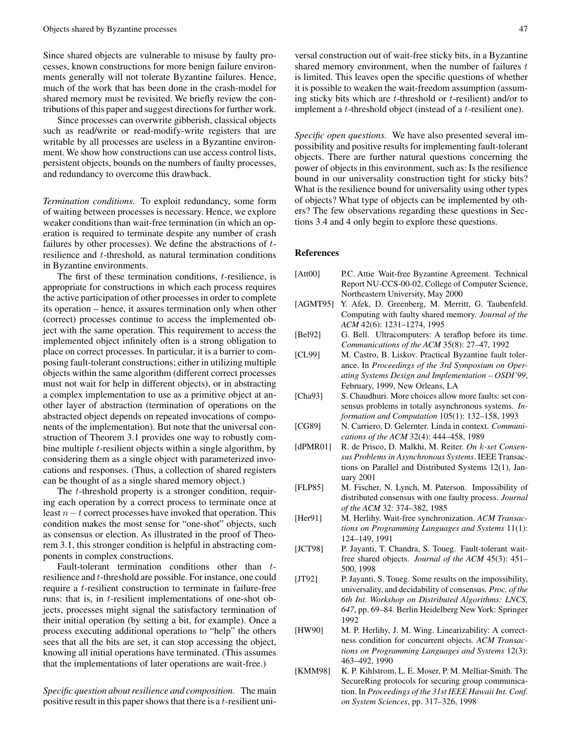Since shared objects are vulnerable to misuse by faulty processes, known constructions for more benign failure environments generally will not tolerate Byzantine failures. Hence, much of the work that has been done in the crash-model for shared memory must be revisited. We briefly review the contributions of this paper and suggest directions for further work.

Since processes can overwrite gibberish, classical objects such as read/write or read-modify-write registers that are writable by all processes are useless in a Byzantine environment. We show how constructions can use access control lists, persistent objects, bounds on the numbers of faulty processes, and redundancy to overcome this drawback.

*Termination conditions.* To exploit redundancy, some form of waiting between processes is necessary. Hence, we explore weaker conditions than wait-free termination (in which an operation is required to terminate despite any number of crash failures by other processes). We define the abstractions of  $t$ resilience and t-threshold, as natural termination conditions in Byzantine environments.

The first of these termination conditions,  $t$ -resilience, is appropriate for constructions in which each process requires the active participation of other processes in order to complete its operation – hence, it assures termination only when other (correct) processes continue to access the implemented object with the same operation. This requirement to access the implemented object infinitely often is a strong obligation to place on correct processes. In particular, it is a barrier to composing fault-tolerant constructions; either in utilizing multiple objects within the same algorithm (different correct processes must not wait for help in different objects), or in abstracting a complex implementation to use as a primitive object at another layer of abstraction (termination of operations on the abstracted object depends on repeated invocations of components of the implementation). But note that the universal construction of Theorem 3.1 provides one way to robustly combine multiple *t*-resilient objects within a single algorithm, by considering them as a single object with parameterized invocations and responses. (Thus, a collection of shared registers can be thought of as a single shared memory object.)

The *t*-threshold property is a stronger condition, requiring each operation by a correct process to terminate once at least  $n-t$  correct processes have invoked that operation. This condition makes the most sense for "one-shot" objects, such as consensus or election. As illustrated in the proof of Theorem 3.1, this stronger condition is helpful in abstracting components in complex constructions.

Fault-tolerant termination conditions other than tresilience and t-threshold are possible. For instance, one could require a t-resilient construction to terminate in failure-free runs: that is, in t-resilient implementations of one-shot objects, processes might signal the satisfactory termination of their initial operation (by setting a bit, for example). Once a process executing additional operations to "help" the others sees that all the bits are set, it can stop accessing the object, knowing all initial operations have terminated. (This assumes that the implementations of later operations are wait-free.)

*Specific question about resilience and composition.* The main positive result in this paper shows that there is a t-resilient uni-

versal construction out of wait-free sticky bits, in a Byzantine shared memory environment, when the number of failures  $t$ is limited. This leaves open the specific questions of whether it is possible to weaken the wait-freedom assumption (assuming sticky bits which are  $t$ -threshold or  $t$ -resilient) and/or to implement a t-threshold object (instead of a t-resilient one).

*Specific open questions.* We have also presented several impossibility and positive results for implementing fault-tolerant objects. There are further natural questions concerning the power of objects in this environment, such as: Is the resilience bound in our universality construction tight for sticky bits? What is the resilience bound for universality using other types of objects? What type of objects can be implemented by others? The few observations regarding these questions in Sections 3.4 and 4 only begin to explore these questions.

#### **References**

- [Att00] P.C. Attie Wait-free Byzantine Agreement. Technical Report NU-CCS-00-02, College of Computer Science, Northeastern University, May 2000
- [AGMT95] Y. Afek, D. Greenberg, M. Merritt, G. Taubenfeld. Computing with faulty shared memory. *Journal of the ACM* 42(6): 1231–1274, 1995
- [Bel92] G. Bell. Ultracomputers: A teraflop before its time. *Communications of the ACM* 35(8): 27–47, 1992
- [CL99] M. Castro, B. Liskov. Practical Byzantine fault tolerance. In *Proceedings of the 3rd Symposium on Operating Systems Design and Implementation – OSDI'99*, February, 1999, New Orleans, LA
- [Cha93] S. Chaudhuri. More choices allow more faults: set consensus problems in totally asynchronous systems. *Information and Computation* 105(1): 132–158, 1993
- [CG89] N. Carriero, D. Gelernter. Linda in context. *Communications of the ACM* 32(4): 444–458, 1989
- [dPMR01] R. de Prisco, D. Malkhi, M. Reiter. *On* k*-set Consensus Problems in Asynchronous Systems*. IEEE Transactions on Parallel and Distributed Systems 12(1), January 2001
- [FLP85] M. Fischer, N. Lynch, M. Paterson. Impossibility of distributed consensus with one faulty process. *Journal of the ACM* 32: 374–382, 1985
- [Her91] M. Herlihy. Wait-free synchronization. *ACM Transactions on Programming Languages and Systems* 11(1): 124–149, 1991
- [JCT98] P. Jayanti, T. Chandra, S. Toueg. Fault-tolerant waitfree shared objects. *Journal of the ACM* 45(3): 451– 500, 1998
- [JT92] P. Jayanti, S. Toueg. Some results on the impossibility, universality, and decidability of consensus. *Proc. of the 6th Int. Workshop on Distributed Algorithms: LNCS, 647*, pp. 69–84. Berlin Heidelberg New York: Springer 1992
- [HW90] M. P. Herlihy, J. M. Wing. Linearizability: A correctness condition for concurrent objects. *ACM Transactions on Programming Languages and Systems* 12(3): 463–492, 1990
- [KMM98] K. P. Kihlstrom, L. E. Moser, P. M. Melliar-Smith. The SecureRing protocols for securing group communication. In *Proceedings of the 31st IEEE Hawaii Int. Conf. on System Sciences*, pp. 317–326, 1998